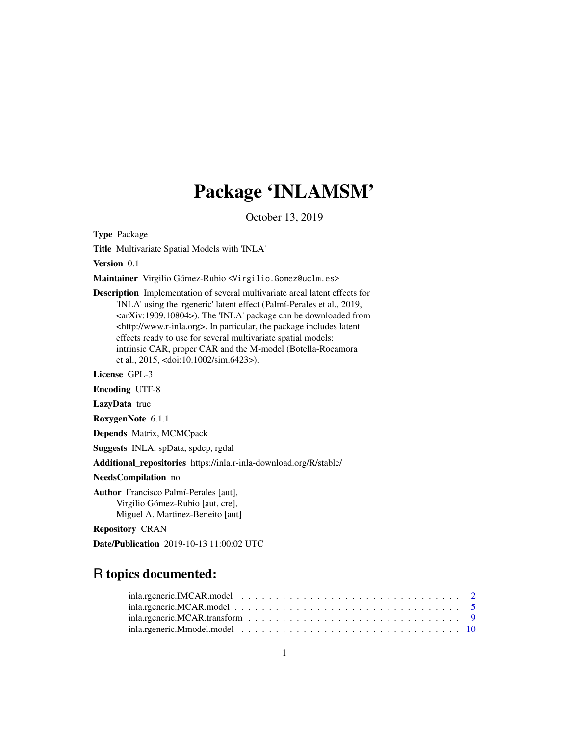## Package 'INLAMSM'

October 13, 2019

Type Package

Title Multivariate Spatial Models with 'INLA'

Version 0.1

Maintainer Virgilio Gómez-Rubio <Virgilio.Gomez@uclm.es>

Description Implementation of several multivariate areal latent effects for 'INLA' using the 'rgeneric' latent effect (Palmí-Perales et al., 2019, <arXiv:1909.10804>). The 'INLA' package can be downloaded from <http://www.r-inla.org>. In particular, the package includes latent effects ready to use for several multivariate spatial models: intrinsic CAR, proper CAR and the M-model (Botella-Rocamora et al., 2015, <doi:10.1002/sim.6423>).

License GPL-3

Encoding UTF-8

LazyData true

RoxygenNote 6.1.1

Depends Matrix, MCMCpack

Suggests INLA, spData, spdep, rgdal

Additional\_repositories https://inla.r-inla-download.org/R/stable/

NeedsCompilation no

Author Francisco Palmí-Perales [aut], Virgilio Gómez-Rubio [aut, cre], Miguel A. Martinez-Beneito [aut]

Repository CRAN

Date/Publication 2019-10-13 11:00:02 UTC

### R topics documented: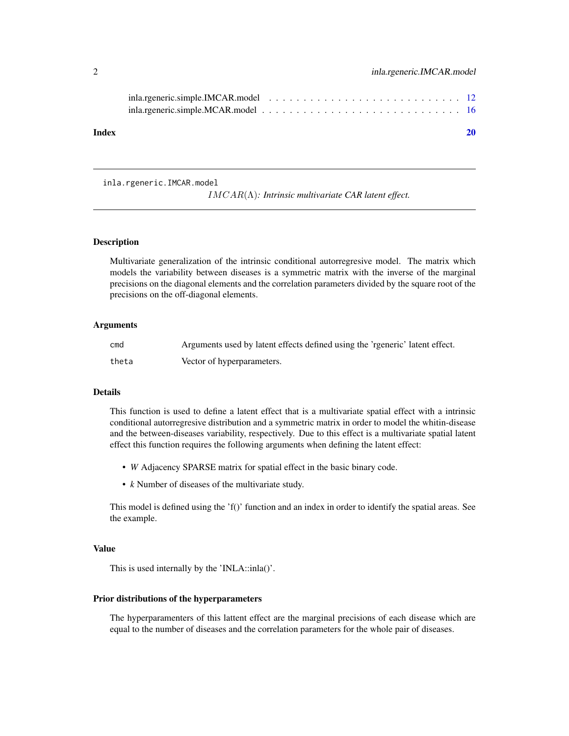<span id="page-1-0"></span>

inla.rgeneric.IMCAR.model

IMCAR(Λ)*: Intrinsic multivariate CAR latent effect.*

#### Description

Multivariate generalization of the intrinsic conditional autorregresive model. The matrix which models the variability between diseases is a symmetric matrix with the inverse of the marginal precisions on the diagonal elements and the correlation parameters divided by the square root of the precisions on the off-diagonal elements.

#### Arguments

| cmd   | Arguments used by latent effects defined using the 'regneric' latent effect. |
|-------|------------------------------------------------------------------------------|
| theta | Vector of hyperparameters.                                                   |

#### Details

This function is used to define a latent effect that is a multivariate spatial effect with a intrinsic conditional autorregresive distribution and a symmetric matrix in order to model the whitin-disease and the between-diseases variability, respectively. Due to this effect is a multivariate spatial latent effect this function requires the following arguments when defining the latent effect:

- *W* Adjacency SPARSE matrix for spatial effect in the basic binary code.
- *k* Number of diseases of the multivariate study.

This model is defined using the 'f()' function and an index in order to identify the spatial areas. See the example.

#### Value

This is used internally by the 'INLA::inla()'.

#### Prior distributions of the hyperparameters

The hyperparamenters of this lattent effect are the marginal precisions of each disease which are equal to the number of diseases and the correlation parameters for the whole pair of diseases.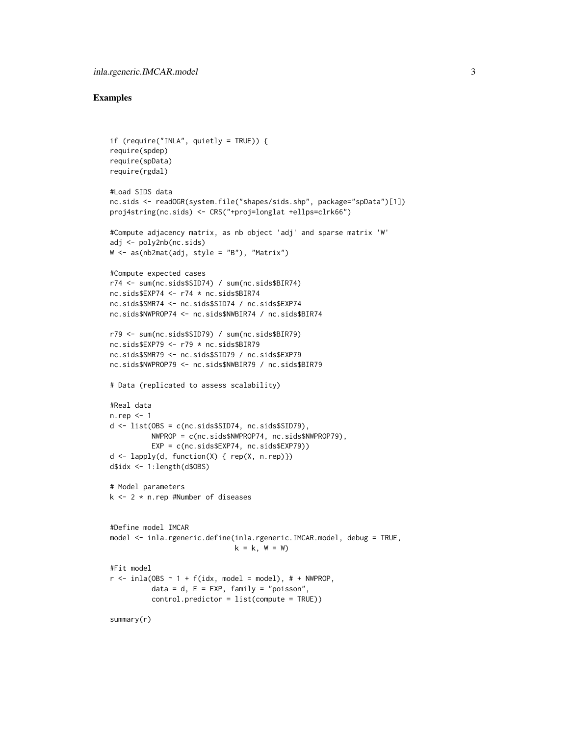```
if (require("INLA", quietly = TRUE)) {
require(spdep)
require(spData)
require(rgdal)
#Load SIDS data
nc.sids <- readOGR(system.file("shapes/sids.shp", package="spData")[1])
proj4string(nc.sids) <- CRS("+proj=longlat +ellps=clrk66")
#Compute adjacency matrix, as nb object 'adj' and sparse matrix 'W'
adj <- poly2nb(nc.sids)
W \leftarrow as(nb2mat(adi, style = "B"), "Matrix")
#Compute expected cases
r74 <- sum(nc.sids$SID74) / sum(nc.sids$BIR74)
nc.sids$EXP74 <- r74 * nc.sids$BIR74
nc.sids$SMR74 <- nc.sids$SID74 / nc.sids$EXP74
nc.sids$NWPROP74 <- nc.sids$NWBIR74 / nc.sids$BIR74
r79 <- sum(nc.sids$SID79) / sum(nc.sids$BIR79)
nc.sids$EXP79 <- r79 * nc.sids$BIR79
nc.sids$SMR79 <- nc.sids$SID79 / nc.sids$EXP79
nc.sids$NWPROP79 <- nc.sids$NWBIR79 / nc.sids$BIR79
# Data (replicated to assess scalability)
#Real data
n.rep <- 1
d <- list(OBS = c(nc.sids$SID74, nc.sids$SID79),
          NWPROP = c(nc.sids$NWPROP74, nc.sids$NWPROP79),
          EXP = c(nc.sids$EXP74, nc.sids$EXP79))
d <- lapply(d, function(X) { rep(X, n.rep)})
d$idx <- 1:length(d$OBS)
# Model parameters
k \le -2 * n.rep #Number of diseases
#Define model IMCAR
model <- inla.rgeneric.define(inla.rgeneric.IMCAR.model, debug = TRUE,
                              k = k, W = W)
#Fit model
r \le - inla(OBS \sim 1 + f(idx, \text{ model} = \text{model}), # + NWPROP,
          data = d, E = EXP, family = "poisson",
          control.predictor = list(compute = TRUE))
summary(r)
```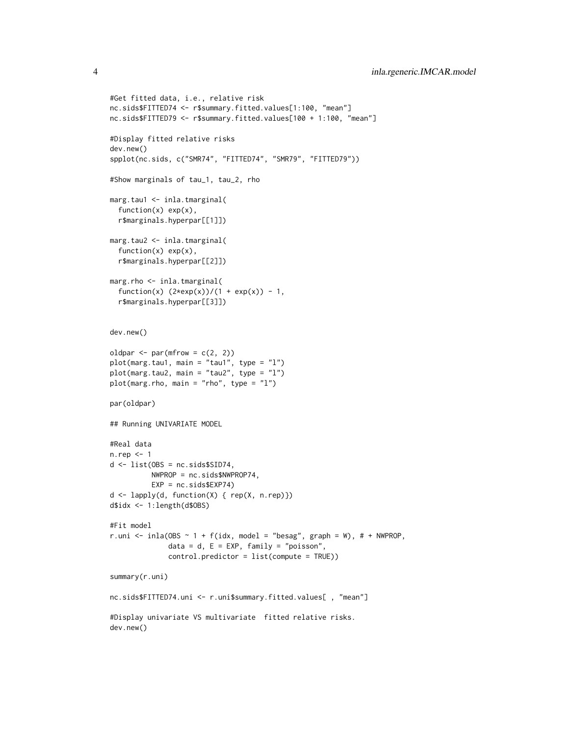```
#Get fitted data, i.e., relative risk
nc.sids$FITTED74 <- r$summary.fitted.values[1:100, "mean"]
nc.sids$FITTED79 <- r$summary.fitted.values[100 + 1:100, "mean"]
#Display fitted relative risks
dev.new()
spplot(nc.sids, c("SMR74", "FITTED74", "SMR79", "FITTED79"))
#Show marginals of tau_1, tau_2, rho
marg.tau1 <- inla.tmarginal(
  function(x) exp(x),
  r$marginals.hyperpar[[1]])
marg.tau2 <- inla.tmarginal(
  function(x) exp(x),
  r$marginals.hyperpar[[2]])
marg.rho <- inla.tmarginal(
  function(x) (2*exp(x))/(1 + exp(x)) - 1,
  r$marginals.hyperpar[[3]])
dev.new()
oldpar \leq par(mfrow = c(2, 2))
plot(marg.tau1, main = "tau1", type = "l")
plot(marg.tau2, main = "tau2", type = "l")
plot(marg.rho, main = "rho", type = "l")
par(oldpar)
## Running UNIVARIATE MODEL
#Real data
n.rep <- 1
d \leftarrow list(OBS = nc.sids$SID74,
          NWPROP = nc.sids$NWPROP74,
          EXP = nc.sids$EXP74)
d \leftarrow \text{lapply}(d, function(X) \{ rep(X, n.rep)\})d$idx <- 1:length(d$OBS)
#Fit model
r.uni <- inla(OBS \sim 1 + f(idx, model = "besag", graph = W), # + NWPROP,
              data = d, E = EXP, family = "poisson",
              control.predictor = list(compute = TRUE))
summary(r.uni)
nc.sids$FITTED74.uni <- r.uni$summary.fitted.values[ , "mean"]
#Display univariate VS multivariate fitted relative risks.
dev.new()
```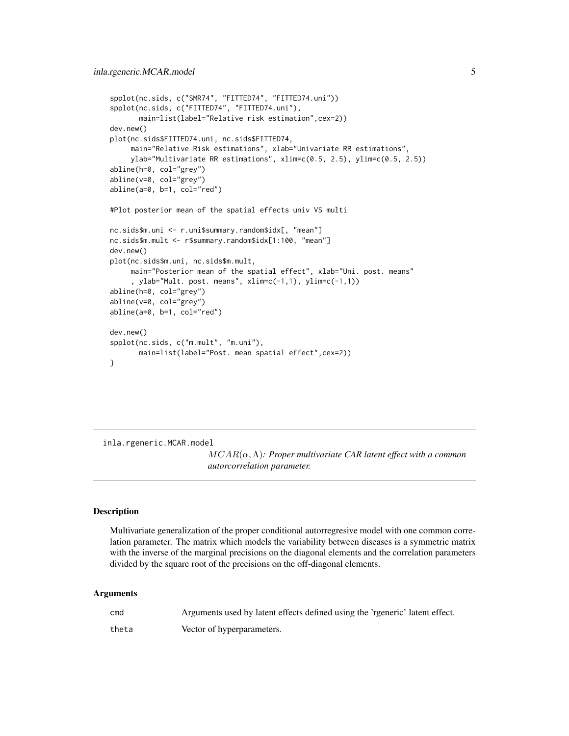```
spplot(nc.sids, c("SMR74", "FITTED74", "FITTED74.uni"))
spplot(nc.sids, c("FITTED74", "FITTED74.uni"),
      main=list(label="Relative risk estimation",cex=2))
dev.new()
plot(nc.sids$FITTED74.uni, nc.sids$FITTED74,
    main="Relative Risk estimations", xlab="Univariate RR estimations",
     ylab="Multivariate RR estimations", xlim=c(0.5, 2.5), ylim=c(0.5, 2.5))
abline(h=0, col="grey")
abline(v=0, col="grey")
abline(a=0, b=1, col="red")
#Plot posterior mean of the spatial effects univ VS multi
nc.sids$m.uni <- r.uni$summary.random$idx[, "mean"]
nc.sids$m.mult <- r$summary.random$idx[1:100, "mean"]
dev.new()
plot(nc.sids$m.uni, nc.sids$m.mult,
    main="Posterior mean of the spatial effect", xlab="Uni. post. means"
     , ylab="Mult. post. means", xlim=c(-1,1), ylim=c(-1,1))
abline(h=0, col="grey")
abline(v=0, col="grey")
abline(a=0, b=1, col="red")
dev.new()
spplot(nc.sids, c("m.mult", "m.uni"),
      main=list(label="Post. mean spatial effect",cex=2))
}
```
inla.rgeneric.MCAR.model

MCAR(α,Λ)*: Proper multivariate CAR latent effect with a common autorcorrelation parameter.*

#### Description

Multivariate generalization of the proper conditional autorregresive model with one common correlation parameter. The matrix which models the variability between diseases is a symmetric matrix with the inverse of the marginal precisions on the diagonal elements and the correlation parameters divided by the square root of the precisions on the off-diagonal elements.

#### Arguments

| cmd   | Arguments used by latent effects defined using the 'rgeneric' latent effect. |
|-------|------------------------------------------------------------------------------|
| theta | Vector of hyperparameters.                                                   |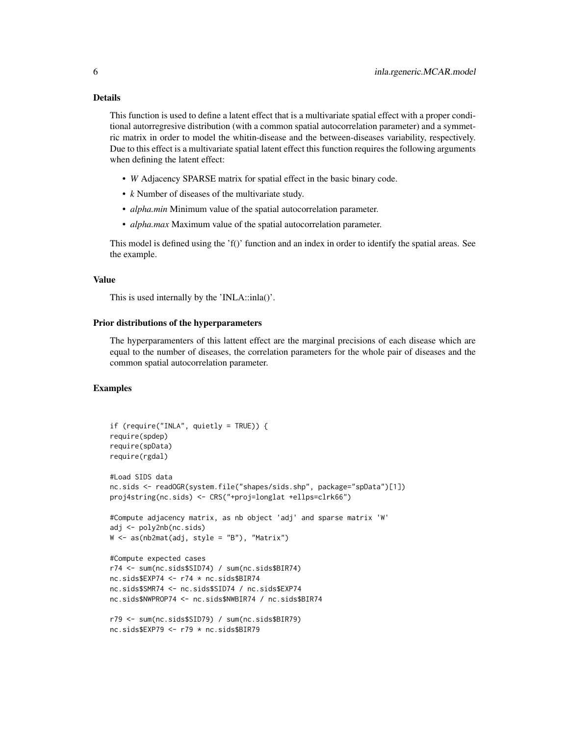#### Details

This function is used to define a latent effect that is a multivariate spatial effect with a proper conditional autorregresive distribution (with a common spatial autocorrelation parameter) and a symmetric matrix in order to model the whitin-disease and the between-diseases variability, respectively. Due to this effect is a multivariate spatial latent effect this function requires the following arguments when defining the latent effect:

- *W* Adjacency SPARSE matrix for spatial effect in the basic binary code.
- *k* Number of diseases of the multivariate study.
- *alpha.min* Minimum value of the spatial autocorrelation parameter.
- *alpha.max* Maximum value of the spatial autocorrelation parameter.

This model is defined using the  $f()$  function and an index in order to identify the spatial areas. See the example.

#### Value

This is used internally by the 'INLA::inla()'.

#### Prior distributions of the hyperparameters

The hyperparamenters of this lattent effect are the marginal precisions of each disease which are equal to the number of diseases, the correlation parameters for the whole pair of diseases and the common spatial autocorrelation parameter.

```
if (require("INLA", quietly = TRUE)) {
require(spdep)
require(spData)
require(rgdal)
#Load SIDS data
nc.sids <- readOGR(system.file("shapes/sids.shp", package="spData")[1])
proj4string(nc.sids) <- CRS("+proj=longlat +ellps=clrk66")
#Compute adjacency matrix, as nb object 'adj' and sparse matrix 'W'
adj <- poly2nb(nc.sids)
W <- as(nb2mat(adj, style = "B"), "Matrix")
#Compute expected cases
r74 <- sum(nc.sids$SID74) / sum(nc.sids$BIR74)
nc.sids$EXP74 <- r74 * nc.sids$BIR74
nc.sids$SMR74 <- nc.sids$SID74 / nc.sids$EXP74
nc.sids$NWPROP74 <- nc.sids$NWBIR74 / nc.sids$BIR74
r79 <- sum(nc.sids$SID79) / sum(nc.sids$BIR79)
nc.sids$EXP79 <- r79 * nc.sids$BIR79
```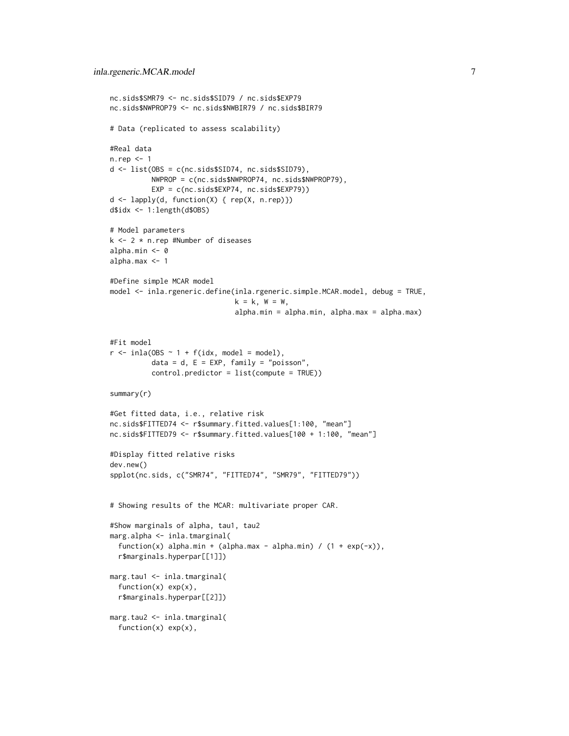```
nc.sids$SMR79 <- nc.sids$SID79 / nc.sids$EXP79
nc.sids$NWPROP79 <- nc.sids$NWBIR79 / nc.sids$BIR79
# Data (replicated to assess scalability)
#Real data
n.rep <- 1
d <- list(OBS = c(nc.sids$SID74, nc.sids$SID79),
          NWPROP = c(nc.sids$NWPROP74, nc.sids$NWPROP79),
          EXP = c(nc.sids$EXP74, nc.sids$EXP79))
d <- lapply(d, function(X) { rep(X, n.rep)})
d$idx <- 1:length(d$OBS)
# Model parameters
k <- 2 * n.rep #Number of diseases
alpha.min <- 0
alpha.max <- 1
#Define simple MCAR model
model <- inla.rgeneric.define(inla.rgeneric.simple.MCAR.model, debug = TRUE,
                              k = k, W = W,
                              alpha.min = alpha.min, alpha.max = alpha.max)
#Fit model
r \le - inla(OBS \sim 1 + f(idx, \text{ model} = \text{model}),data = d, E = EXP, family = "poisson",
          control.predictor = list(compute = TRUE))
summary(r)
#Get fitted data, i.e., relative risk
nc.sids$FITTED74 <- r$summary.fitted.values[1:100, "mean"]
nc.sids$FITTED79 <- r$summary.fitted.values[100 + 1:100, "mean"]
#Display fitted relative risks
dev.new()
spplot(nc.sids, c("SMR74", "FITTED74", "SMR79", "FITTED79"))
# Showing results of the MCAR: multivariate proper CAR.
#Show marginals of alpha, tau1, tau2
marg.alpha <- inla.tmarginal(
 function(x) alpha.min + (alpha.max - alpha.min) / (1 + \exp(-x)),
 r$marginals.hyperpar[[1]])
marg.tau1 <- inla.tmarginal(
 function(x) exp(x),
 r$marginals.hyperpar[[2]])
marg.tau2 <- inla.tmarginal(
 function(x) exp(x),
```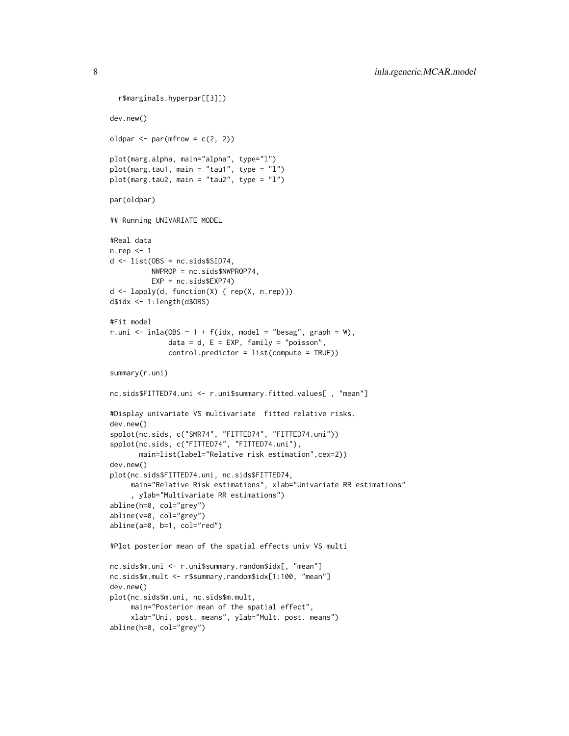```
r$marginals.hyperpar[[3]])
dev.new()
oldpar \leq par(mfrow = c(2, 2))
plot(marg.alpha, main="alpha", type="l")
plot(marg.tau1, main = "tau1", type = "l")
plot(marg.tau2, main = "tau2", type = "l")
par(oldpar)
## Running UNIVARIATE MODEL
#Real data
n.rep <- 1
d \leftarrow list(OBS = nc.sids$SID74,
          NWPROP = nc.sids$NWPROP74,
          EXP = nc.sids$EXP74)
d <- lapply(d, function(X) { rep(X, n.rep)})
d$idx <- 1:length(d$OBS)
#Fit model
r.uni <- inla(OBS \sim 1 + f(idx, model = "besag", graph = W),
              data = d, E = EXP, family = "poisson",
              control.predictor = list(compute = TRUE))
summary(r.uni)
nc.sids$FITTED74.uni <- r.uni$summary.fitted.values[ , "mean"]
#Display univariate VS multivariate fitted relative risks.
dev.new()
spplot(nc.sids, c("SMR74", "FITTED74", "FITTED74.uni"))
spplot(nc.sids, c("FITTED74", "FITTED74.uni"),
       main=list(label="Relative risk estimation",cex=2))
dev.new()
plot(nc.sids$FITTED74.uni, nc.sids$FITTED74,
     main="Relative Risk estimations", xlab="Univariate RR estimations"
     , ylab="Multivariate RR estimations")
abline(h=0, col="grey")
abline(v=0, col="grey")
abline(a=0, b=1, col="red")
#Plot posterior mean of the spatial effects univ VS multi
nc.sids$m.uni <- r.uni$summary.random$idx[, "mean"]
nc.sids$m.mult <- r$summary.random$idx[1:100, "mean"]
dev.new()
plot(nc.sids$m.uni, nc.sids$m.mult,
     main="Posterior mean of the spatial effect",
     xlab="Uni. post. means", ylab="Mult. post. means")
abline(h=0, col="grey")
```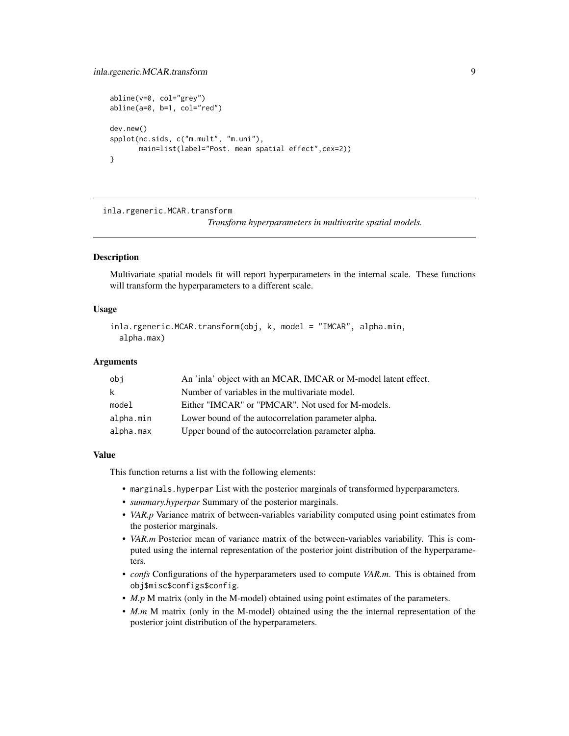```
abline(v=0, col="grey")
abline(a=0, b=1, col="red")
dev.new()
spplot(nc.sids, c("m.mult", "m.uni"),
       main=list(label="Post. mean spatial effect",cex=2))
}
```
inla.rgeneric.MCAR.transform

*Transform hyperparameters in multivarite spatial models.*

#### **Description**

Multivariate spatial models fit will report hyperparameters in the internal scale. These functions will transform the hyperparameters to a different scale.

#### Usage

```
inla.rgeneric.MCAR.transform(obj, k, model = "IMCAR", alpha.min,
  alpha.max)
```
#### Arguments

| obi       | An 'inla' object with an MCAR, IMCAR or M-model latent effect. |
|-----------|----------------------------------------------------------------|
| k         | Number of variables in the multivariate model.                 |
| model     | Either "IMCAR" or "PMCAR". Not used for M-models.              |
| alpha.min | Lower bound of the autocorrelation parameter alpha.            |
| alpha.max | Upper bound of the autocorrelation parameter alpha.            |

#### Value

This function returns a list with the following elements:

- marginals.hyperpar List with the posterior marginals of transformed hyperparameters.
- *summary.hyperpar* Summary of the posterior marginals.
- *VAR.p* Variance matrix of between-variables variability computed using point estimates from the posterior marginals.
- *VAR.m* Posterior mean of variance matrix of the between-variables variability. This is computed using the internal representation of the posterior joint distribution of the hyperparameters.
- *confs* Configurations of the hyperparameters used to compute *VAR.m*. This is obtained from obj\$misc\$configs\$config.
- *M.p* M matrix (only in the M-model) obtained using point estimates of the parameters.
- *M.m* M matrix (only in the M-model) obtained using the the internal representation of the posterior joint distribution of the hyperparameters.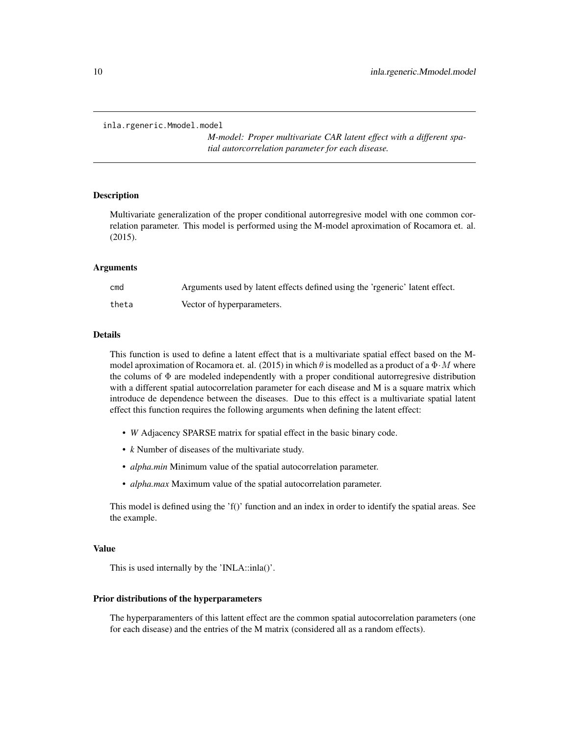```
inla.rgeneric.Mmodel.model
```
*M-model: Proper multivariate CAR latent effect with a different spatial autorcorrelation parameter for each disease.*

#### Description

Multivariate generalization of the proper conditional autorregresive model with one common correlation parameter. This model is performed using the M-model aproximation of Rocamora et. al. (2015).

#### Arguments

| cmd   | Arguments used by latent effects defined using the 'rgeneric' latent effect. |
|-------|------------------------------------------------------------------------------|
| theta | Vector of hyperparameters.                                                   |

#### Details

This function is used to define a latent effect that is a multivariate spatial effect based on the Mmodel aproximation of Rocamora et. al. (2015) in which  $\theta$  is modelled as a product of a  $\Phi \cdot M$  where the colums of  $\Phi$  are modeled independently with a proper conditional autorregresive distribution with a different spatial autocorrelation parameter for each disease and M is a square matrix which introduce de dependence between the diseases. Due to this effect is a multivariate spatial latent effect this function requires the following arguments when defining the latent effect:

- *W* Adjacency SPARSE matrix for spatial effect in the basic binary code.
- *k* Number of diseases of the multivariate study.
- *alpha.min* Minimum value of the spatial autocorrelation parameter.
- *alpha.max* Maximum value of the spatial autocorrelation parameter.

This model is defined using the 'f()' function and an index in order to identify the spatial areas. See the example.

#### Value

This is used internally by the 'INLA::inla()'.

#### Prior distributions of the hyperparameters

The hyperparamenters of this lattent effect are the common spatial autocorrelation parameters (one for each disease) and the entries of the M matrix (considered all as a random effects).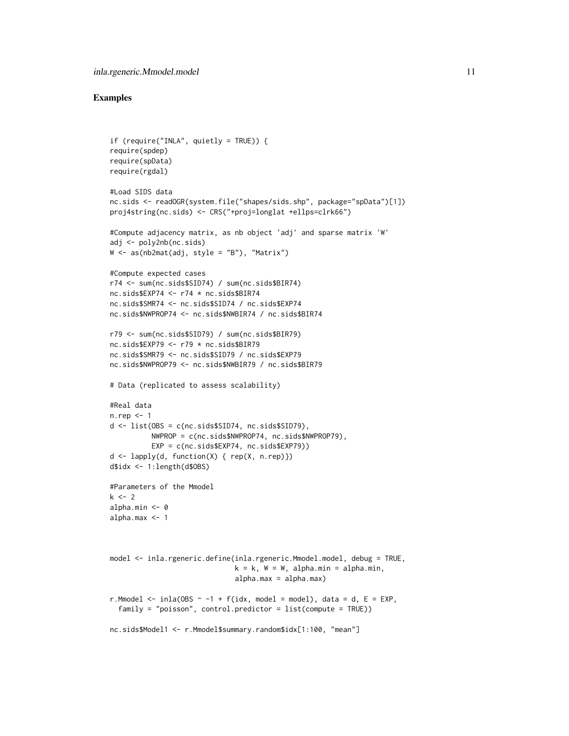```
if (require("INLA", quietly = TRUE)) {
require(spdep)
require(spData)
require(rgdal)
#Load SIDS data
nc.sids <- readOGR(system.file("shapes/sids.shp", package="spData")[1])
proj4string(nc.sids) <- CRS("+proj=longlat +ellps=clrk66")
#Compute adjacency matrix, as nb object 'adj' and sparse matrix 'W'
adj <- poly2nb(nc.sids)
W \leq -as(nb2mat(adi, style = "B"), "Matrix")
#Compute expected cases
r74 <- sum(nc.sids$SID74) / sum(nc.sids$BIR74)
nc.sids$EXP74 <- r74 * nc.sids$BIR74
nc.sids$SMR74 <- nc.sids$SID74 / nc.sids$EXP74
nc.sids$NWPROP74 <- nc.sids$NWBIR74 / nc.sids$BIR74
r79 <- sum(nc.sids$SID79) / sum(nc.sids$BIR79)
nc.sids$EXP79 <- r79 * nc.sids$BIR79
nc.sids$SMR79 <- nc.sids$SID79 / nc.sids$EXP79
nc.sids$NWPROP79 <- nc.sids$NWBIR79 / nc.sids$BIR79
# Data (replicated to assess scalability)
#Real data
n.rep <- 1
d <- list(OBS = c(nc.sids$SID74, nc.sids$SID79),
          NWPROP = c(nc.sids$NWPROP74, nc.sids$NWPROP79),
          EXP = c(nc.sids$EXP74, nc.sids$EXP79))
d <- lapply(d, function(X) { rep(X, n.rep)})
d$idx <- 1:length(d$OBS)
#Parameters of the Mmodel
k \le -2alpha.min <- 0
alpha.max <- 1
model <- inla.rgeneric.define(inla.rgeneric.Mmodel.model, debug = TRUE,
                              k = k, W = W, alpha.min = alpha.min,
                              alpha.max = alpha.max)
r.Mmodel <- inla(OBS \sim -1 + f(idx, model = model), data = d, E = EXP,
  family = "poisson", control.predictor = list(compute = TRUE))
nc.sids$Model1 <- r.Mmodel$summary.random$idx[1:100, "mean"]
```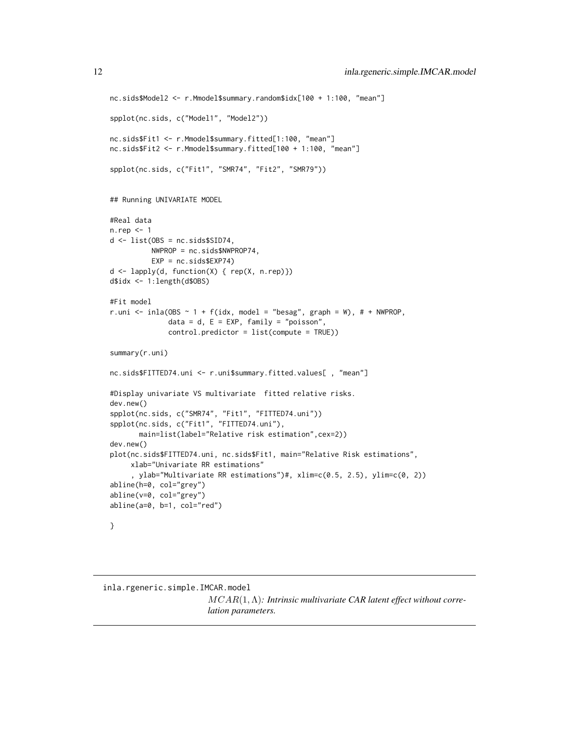```
nc.sids$Model2 <- r.Mmodel$summary.random$idx[100 + 1:100, "mean"]
spplot(nc.sids, c("Model1", "Model2"))
nc.sids$Fit1 <- r.Mmodel$summary.fitted[1:100, "mean"]
nc.sids$Fit2 <- r.Mmodel$summary.fitted[100 + 1:100, "mean"]
spplot(nc.sids, c("Fit1", "SMR74", "Fit2", "SMR79"))
## Running UNIVARIATE MODEL
#Real data
n.rep <- 1
d \leftarrow list(OBS = nc.sids$SID74,
         NWPROP = nc.sids$NWPROP74,
         EXP = nc.sids$EXP74)
d <- lapply(d, function(X) { rep(X, n.rep)})
d$idx <- 1:length(d$OBS)
#Fit model
r.uni <- inla(OBS \sim 1 + f(idx, model = "besag", graph = W), # + NWPROP,
              data = d, E = EXP, family = "poisson",control.predictor = list(compute = TRUE))
summary(r.uni)
nc.sids$FITTED74.uni <- r.uni$summary.fitted.values[ , "mean"]
#Display univariate VS multivariate fitted relative risks.
dev.new()
spplot(nc.sids, c("SMR74", "Fit1", "FITTED74.uni"))
spplot(nc.sids, c("Fit1", "FITTED74.uni"),
      main=list(label="Relative risk estimation",cex=2))
dev.new()
plot(nc.sids$FITTED74.uni, nc.sids$Fit1, main="Relative Risk estimations",
     xlab="Univariate RR estimations"
     , ylab="Multivariate RR estimations")#, xlim=c(0.5, 2.5), ylim=c(0, 2))
abline(h=0, col="grey")
abline(v=0, col="grey")
abline(a=0, b=1, col="red")
}
```
inla.rgeneric.simple.IMCAR.model MCAR(1,Λ)*: Intrinsic multivariate CAR latent effect without correlation parameters.*

<span id="page-11-0"></span>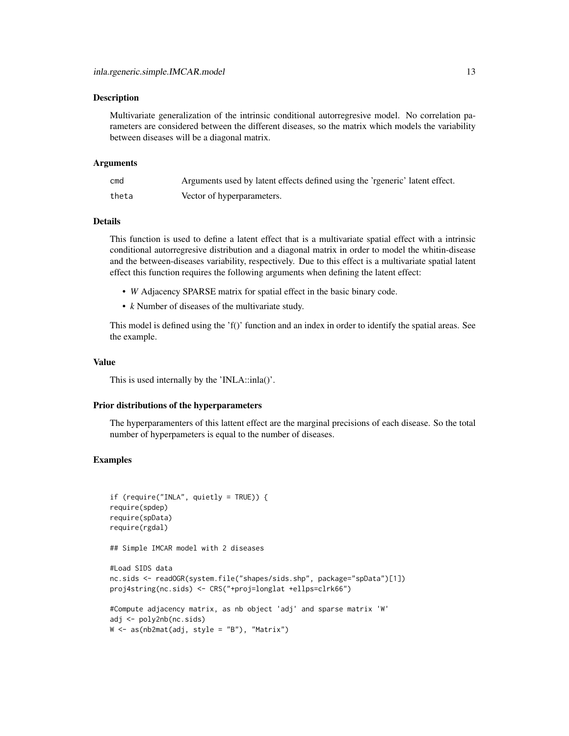#### Description

Multivariate generalization of the intrinsic conditional autorregresive model. No correlation parameters are considered between the different diseases, so the matrix which models the variability between diseases will be a diagonal matrix.

#### Arguments

| cmd   | Arguments used by latent effects defined using the 'rgeneric' latent effect. |
|-------|------------------------------------------------------------------------------|
| theta | Vector of hyperparameters.                                                   |

#### Details

This function is used to define a latent effect that is a multivariate spatial effect with a intrinsic conditional autorregresive distribution and a diagonal matrix in order to model the whitin-disease and the between-diseases variability, respectively. Due to this effect is a multivariate spatial latent effect this function requires the following arguments when defining the latent effect:

- *W* Adjacency SPARSE matrix for spatial effect in the basic binary code.
- *k* Number of diseases of the multivariate study.

This model is defined using the  $f()$  function and an index in order to identify the spatial areas. See the example.

#### Value

This is used internally by the 'INLA::inla()'.

#### Prior distributions of the hyperparameters

The hyperparamenters of this lattent effect are the marginal precisions of each disease. So the total number of hyperpameters is equal to the number of diseases.

#### Examples

```
if (require("INLA", quietly = TRUE)) {
require(spdep)
require(spData)
require(rgdal)
```
## Simple IMCAR model with 2 diseases

```
#Load SIDS data
nc.sids <- readOGR(system.file("shapes/sids.shp", package="spData")[1])
proj4string(nc.sids) <- CRS("+proj=longlat +ellps=clrk66")
```

```
#Compute adjacency matrix, as nb object 'adj' and sparse matrix 'W'
adj <- poly2nb(nc.sids)
W <- as(nb2mat(adj, style = "B"), "Matrix")
```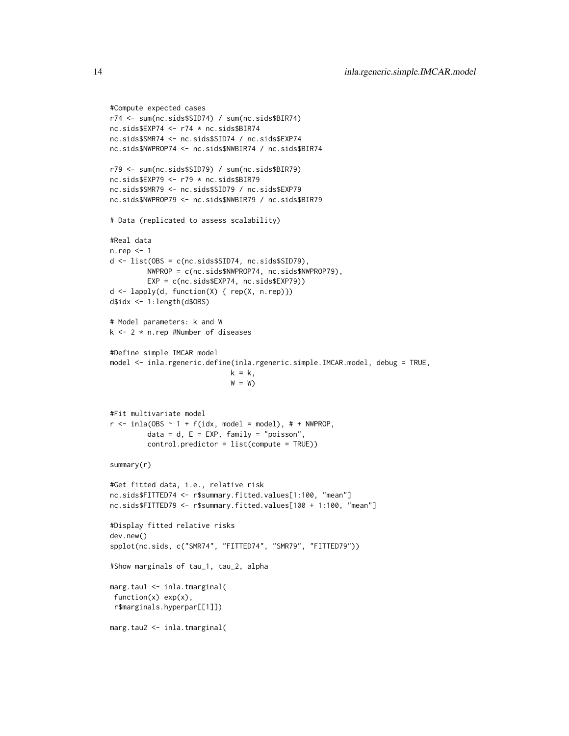```
#Compute expected cases
r74 <- sum(nc.sids$SID74) / sum(nc.sids$BIR74)
nc.sids$EXP74 <- r74 * nc.sids$BIR74
nc.sids$SMR74 <- nc.sids$SID74 / nc.sids$EXP74
nc.sids$NWPROP74 <- nc.sids$NWBIR74 / nc.sids$BIR74
r79 <- sum(nc.sids$SID79) / sum(nc.sids$BIR79)
nc.sids$EXP79 <- r79 * nc.sids$BIR79
nc.sids$SMR79 <- nc.sids$SID79 / nc.sids$EXP79
nc.sids$NWPROP79 <- nc.sids$NWBIR79 / nc.sids$BIR79
# Data (replicated to assess scalability)
#Real data
n.rep <- 1
d <- list(OBS = c(nc.sids$SID74, nc.sids$SID79),
         NWPROP = c(nc.sids$NWPROP74, nc.sids$NWPROP79),
         EXP = c(nc.sids$EXP74, nc.sids$EXP79))
d <- lapply(d, function(X) { rep(X, n.rep)})
d$idx <- 1:length(d$OBS)
# Model parameters: k and W
k <- 2 * n.rep #Number of diseases
#Define simple IMCAR model
model <- inla.rgeneric.define(inla.rgeneric.simple.IMCAR.model, debug = TRUE,
                             k = k,
                             W = W#Fit multivariate model
r \le - inla(OBS \sim 1 + f(idx, \text{ model} = \text{model}), # + NWPROP,
         data = d, E = EXP, family = "poisson",
         control.predictor = list(compute = TRUE))
summary(r)
#Get fitted data, i.e., relative risk
nc.sids$FITTED74 <- r$summary.fitted.values[1:100, "mean"]
nc.sids$FITTED79 <- r$summary.fitted.values[100 + 1:100, "mean"]
#Display fitted relative risks
dev.new()
spplot(nc.sids, c("SMR74", "FITTED74", "SMR79", "FITTED79"))
#Show marginals of tau_1, tau_2, alpha
marg.tau1 <- inla.tmarginal(
function(x) exp(x),
 r$marginals.hyperpar[[1]])
marg.tau2 <- inla.tmarginal(
```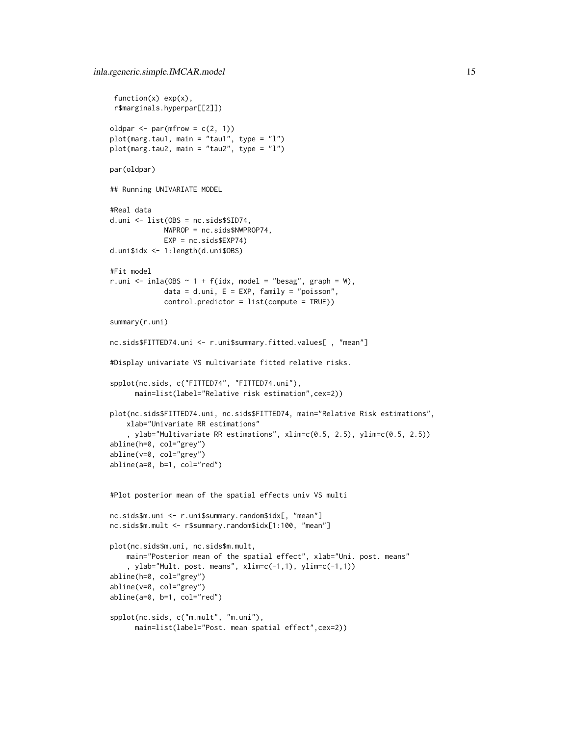```
function(x) exp(x),
 r$marginals.hyperpar[[2]])
oldpar \leq par(mfrow = c(2, 1))
plot(marg.tau1, main = "tau1", type = "l")
plot(marg.tau2, main = "tau2", type = "l")
par(oldpar)
## Running UNIVARIATE MODEL
#Real data
d.uni <- list(OBS = nc.sids$SID74,
             NWPROP = nc.sids$NWPROP74,
             EXP = nc.sids$EXP74)
d.uni$idx <- 1:length(d.uni$OBS)
#Fit model
r.uni <- inla(OBS \sim 1 + f(idx, model = "besag", graph = W),
             data = d.uni, E = EXP, family = "poisson",
             control.predictor = list(compute = TRUE))
summary(r.uni)
nc.sids$FITTED74.uni <- r.uni$summary.fitted.values[ , "mean"]
#Display univariate VS multivariate fitted relative risks.
spplot(nc.sids, c("FITTED74", "FITTED74.uni"),
      main=list(label="Relative risk estimation",cex=2))
plot(nc.sids$FITTED74.uni, nc.sids$FITTED74, main="Relative Risk estimations",
    xlab="Univariate RR estimations"
    , ylab="Multivariate RR estimations", xlim=c(0.5, 2.5), ylim=c(0.5, 2.5))
abline(h=0, col="grey")
abline(v=0, col="grey")
abline(a=0, b=1, col="red")
#Plot posterior mean of the spatial effects univ VS multi
nc.sids$m.uni <- r.uni$summary.random$idx[, "mean"]
nc.sids$m.mult <- r$summary.random$idx[1:100, "mean"]
plot(nc.sids$m.uni, nc.sids$m.mult,
    main="Posterior mean of the spatial effect", xlab="Uni. post. means"
    , ylab="Mult. post. means", xlim=c(-1,1), ylim=c(-1,1))
abline(h=0, col="grey")
abline(v=0, col="grey")
abline(a=0, b=1, col="red")
spplot(nc.sids, c("m.mult", "m.uni"),
      main=list(label="Post. mean spatial effect",cex=2))
```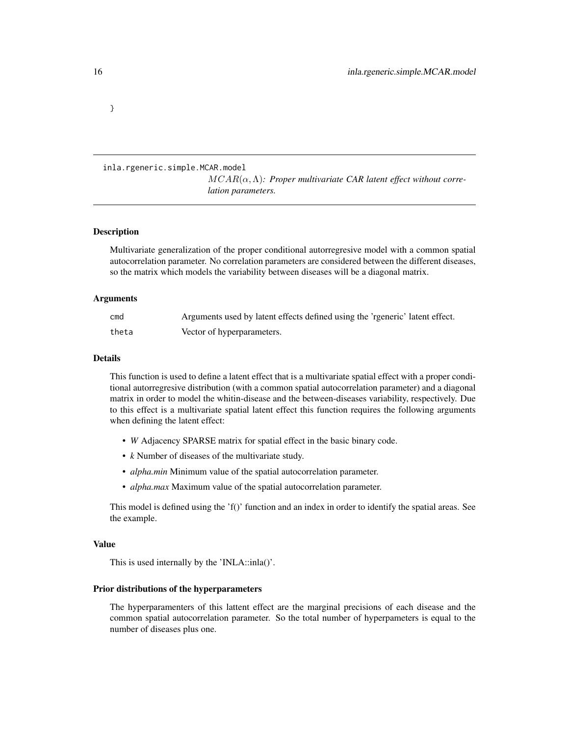```
}
```
#### inla.rgeneric.simple.MCAR.model MCAR(α,Λ)*: Proper multivariate CAR latent effect without correlation parameters.*

#### Description

Multivariate generalization of the proper conditional autorregresive model with a common spatial autocorrelation parameter. No correlation parameters are considered between the different diseases, so the matrix which models the variability between diseases will be a diagonal matrix.

#### Arguments

| cmd   | Arguments used by latent effects defined using the 'rgeneric' latent effect. |
|-------|------------------------------------------------------------------------------|
| theta | Vector of hyperparameters.                                                   |

#### Details

This function is used to define a latent effect that is a multivariate spatial effect with a proper conditional autorregresive distribution (with a common spatial autocorrelation parameter) and a diagonal matrix in order to model the whitin-disease and the between-diseases variability, respectively. Due to this effect is a multivariate spatial latent effect this function requires the following arguments when defining the latent effect:

- *W* Adjacency SPARSE matrix for spatial effect in the basic binary code.
- *k* Number of diseases of the multivariate study.
- *alpha.min* Minimum value of the spatial autocorrelation parameter.
- *alpha.max* Maximum value of the spatial autocorrelation parameter.

This model is defined using the 'f()' function and an index in order to identify the spatial areas. See the example.

#### Value

This is used internally by the 'INLA::inla()'.

#### Prior distributions of the hyperparameters

The hyperparamenters of this lattent effect are the marginal precisions of each disease and the common spatial autocorrelation parameter. So the total number of hyperpameters is equal to the number of diseases plus one.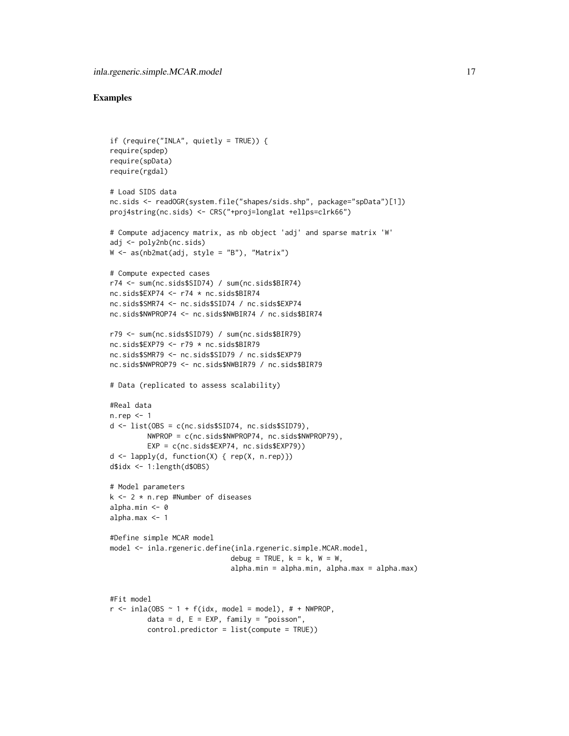```
if (require("INLA", quietly = TRUE)) {
require(spdep)
require(spData)
require(rgdal)
# Load SIDS data
nc.sids <- readOGR(system.file("shapes/sids.shp", package="spData")[1])
proj4string(nc.sids) <- CRS("+proj=longlat +ellps=clrk66")
# Compute adjacency matrix, as nb object 'adj' and sparse matrix 'W'
adj <- poly2nb(nc.sids)
W \leftarrow as(nb2mat(adi, style = "B"), "Matrix")
# Compute expected cases
r74 <- sum(nc.sids$SID74) / sum(nc.sids$BIR74)
nc.sids$EXP74 <- r74 * nc.sids$BIR74
nc.sids$SMR74 <- nc.sids$SID74 / nc.sids$EXP74
nc.sids$NWPROP74 <- nc.sids$NWBIR74 / nc.sids$BIR74
r79 <- sum(nc.sids$SID79) / sum(nc.sids$BIR79)
nc.sids$EXP79 <- r79 * nc.sids$BIR79
nc.sids$SMR79 <- nc.sids$SID79 / nc.sids$EXP79
nc.sids$NWPROP79 <- nc.sids$NWBIR79 / nc.sids$BIR79
# Data (replicated to assess scalability)
#Real data
n.rep <- 1
d <- list(OBS = c(nc.sids$SID74, nc.sids$SID79),
         NWPROP = c(nc.sids$NWPROP74, nc.sids$NWPROP79),
         EXP = c(nc.sids$EXP74, nc.sids$EXP79))
d <- lapply(d, function(X) { rep(X, n.rep)})
d$idx <- 1:length(d$OBS)
# Model parameters
k \le -2 * n.rep #Number of diseases
alpha.min <- 0
alpha.max <- 1
#Define simple MCAR model
model <- inla.rgeneric.define(inla.rgeneric.simple.MCAR.model,
                             debug = TRUE, k = k, W = W,
                             alpha.min = alpha.min, alpha.max = alpha.max)
#Fit model
r \le - inla(OBS \sim 1 + f(idx, model = model), # + NWPROP,
         data = d, E = EXP, family = "poisson",
         control.predictor = list(compute = TRUE))
```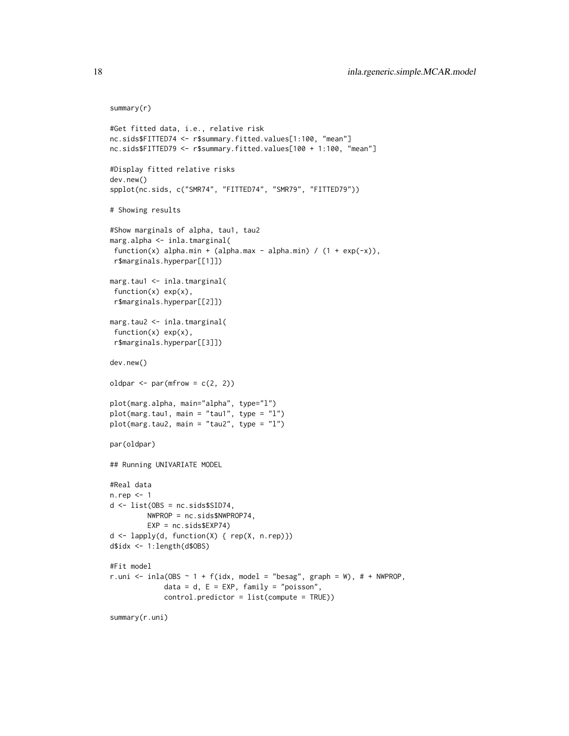```
summary(r)
```

```
#Get fitted data, i.e., relative risk
nc.sids$FITTED74 <- r$summary.fitted.values[1:100, "mean"]
nc.sids$FITTED79 <- r$summary.fitted.values[100 + 1:100, "mean"]
#Display fitted relative risks
dev.new()
spplot(nc.sids, c("SMR74", "FITTED74", "SMR79", "FITTED79"))
# Showing results
#Show marginals of alpha, tau1, tau2
marg.alpha <- inla.tmarginal(
 function(x) alpha.min + (alpha.max - alpha.min) / (1 + \exp(-x)),
 r$marginals.hyperpar[[1]])
marg.tau1 <- inla.tmarginal(
 function(x) exp(x),
 r$marginals.hyperpar[[2]])
marg.tau2 <- inla.tmarginal(
 function(x) exp(x),
 r$marginals.hyperpar[[3]])
dev.new()
oldpar \leq par(mfrow = c(2, 2))
plot(marg.alpha, main="alpha", type="l")
plot(marg.tau1, main = "tau1", type = "l")
plot(marg.tau2, main = "tau2", type = "l")
par(oldpar)
## Running UNIVARIATE MODEL
#Real data
n.rep <- 1
d \leftarrow list(OBS = nc.sids$SID74,
         NWPROP = nc.sids$NWPROP74,
         EXP = nc.sids$EXP74)
d <- lapply(d, function(X) { rep(X, n.rep)})
d$idx <- 1:length(d$OBS)
#Fit model
r.uni <- inla(OBS \sim 1 + f(idx, model = "besag", graph = W), # + NWPROP,
             data = d, E = EXP, family = "poisson",
             control.predictor = list(compute = TRUE))
summary(r.uni)
```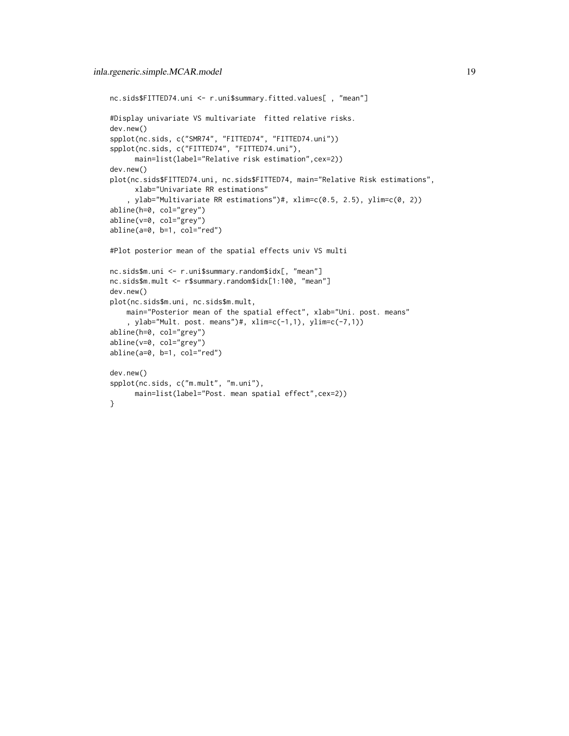```
nc.sids$FITTED74.uni <- r.uni$summary.fitted.values[ , "mean"]
#Display univariate VS multivariate fitted relative risks.
dev.new()
spplot(nc.sids, c("SMR74", "FITTED74", "FITTED74.uni"))
spplot(nc.sids, c("FITTED74", "FITTED74.uni"),
     main=list(label="Relative risk estimation",cex=2))
dev.new()
plot(nc.sids$FITTED74.uni, nc.sids$FITTED74, main="Relative Risk estimations",
      xlab="Univariate RR estimations"
    , ylab="Multivariate RR estimations")#, xlim=c(0.5, 2.5), ylim=c(0, 2))
abline(h=0, col="grey")
abline(v=0, col="grey")
abline(a=0, b=1, col="red")
#Plot posterior mean of the spatial effects univ VS multi
nc.sids$m.uni <- r.uni$summary.random$idx[, "mean"]
nc.sids$m.mult <- r$summary.random$idx[1:100, "mean"]
dev.new()
plot(nc.sids$m.uni, nc.sids$m.mult,
    main="Posterior mean of the spatial effect", xlab="Uni. post. means"
    , ylab="Mult. post. means")#, xlim=c(-1,1), ylim=c(-7,1))
abline(h=0, col="grey")
abline(v=0, col="grey")
abline(a=0, b=1, col="red")
dev.new()
spplot(nc.sids, c("m.mult", "m.uni"),
      main=list(label="Post. mean spatial effect",cex=2))
}
```